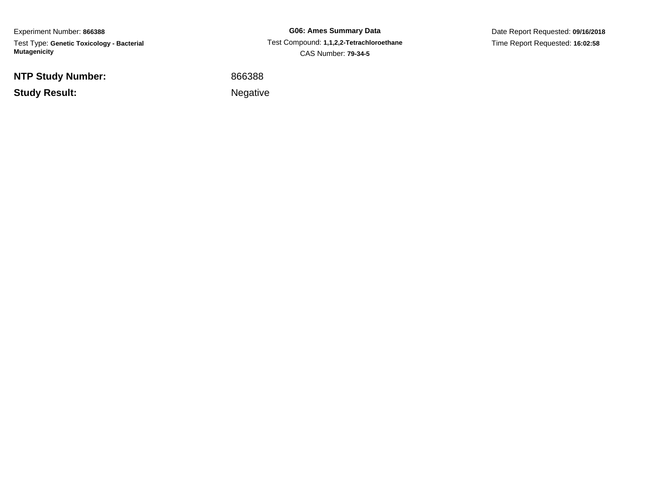Experiment Number: **866388** Test Type: **Genetic Toxicology - Bacterial Mutagenicity**

**NTP Study Number:**

**Study Result:**

**G06: Ames Summary Data** Test Compound: **1,1,2,2-Tetrachloroethane**CAS Number: **79-34-5**

Date Report Requested: **09/16/2018**Time Report Requested: **16:02:58**

<sup>866388</sup>

Negative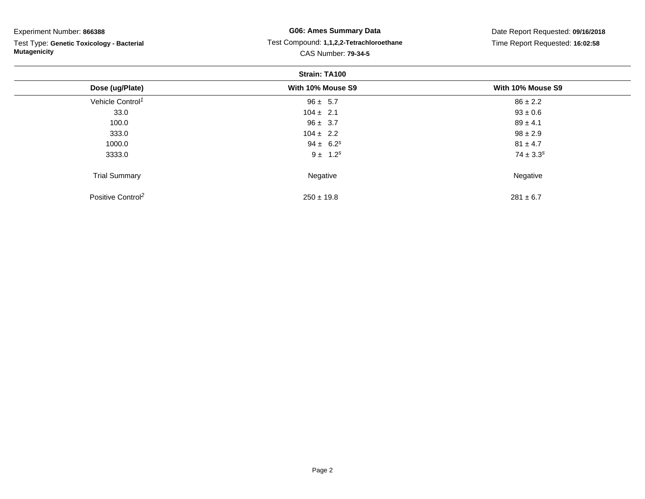## Experiment Number: **866388**

Test Type: **Genetic Toxicology - Bacterial Mutagenicity**

## **G06: Ames Summary Data** Test Compound: **1,1,2,2-Tetrachloroethane**CAS Number: **79-34-5**

Date Report Requested: **09/16/2018**Time Report Requested: **16:02:58**

| <b>Strain: TA100</b>          |                   |                   |  |  |
|-------------------------------|-------------------|-------------------|--|--|
| Dose (ug/Plate)               | With 10% Mouse S9 | With 10% Mouse S9 |  |  |
| Vehicle Control <sup>1</sup>  | $96 \pm 5.7$      | $86 \pm 2.2$      |  |  |
| 33.0                          | $104 \pm 2.1$     | $93 \pm 0.6$      |  |  |
| 100.0                         | $96 \pm 3.7$      | $89 \pm 4.1$      |  |  |
| 333.0                         | $104 \pm 2.2$     | $98 \pm 2.9$      |  |  |
| 1000.0                        | $94 \pm 6.2^s$    | $81 \pm 4.7$      |  |  |
| 3333.0                        | $9 \pm 1.2^s$     | $74 \pm 3.3^s$    |  |  |
| <b>Trial Summary</b>          | Negative          | Negative          |  |  |
| Positive Control <sup>2</sup> | $250 \pm 19.8$    | $281 \pm 6.7$     |  |  |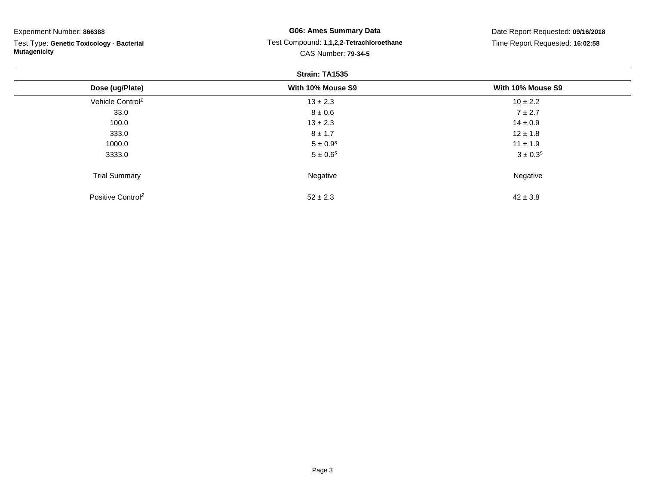| Experiment Number: 866388<br>Test Type: Genetic Toxicology - Bacterial<br><b>Mutagenicity</b> | <b>G06: Ames Summary Data</b><br>Test Compound: 1,1,2,2-Tetrachloroethane | Date Report Requested: 09/16/2018<br>Time Report Requested: 16:02:58 |                     |  |  |
|-----------------------------------------------------------------------------------------------|---------------------------------------------------------------------------|----------------------------------------------------------------------|---------------------|--|--|
|                                                                                               |                                                                           |                                                                      | CAS Number: 79-34-5 |  |  |
|                                                                                               | Strain: TA1535                                                            |                                                                      |                     |  |  |
| Dose (ug/Plate)                                                                               | With 10% Mouse S9                                                         | With 10% Mouse S9                                                    |                     |  |  |
| Vehicle Control <sup>1</sup>                                                                  | $13 \pm 2.3$                                                              | $10 \pm 2.2$                                                         |                     |  |  |
| 33.0                                                                                          | $8 \pm 0.6$                                                               | $7 \pm 2.7$                                                          |                     |  |  |
| 100.0                                                                                         | $13 \pm 2.3$                                                              | $14 \pm 0.9$                                                         |                     |  |  |
| 333.0                                                                                         | $8 \pm 1.7$                                                               | $12 \pm 1.8$                                                         |                     |  |  |
| 1000.0                                                                                        | $5 \pm 0.9$ <sup>s</sup>                                                  | $11 \pm 1.9$                                                         |                     |  |  |
| 3333.0                                                                                        | $5 \pm 0.6^s$                                                             | $3 \pm 0.3^s$                                                        |                     |  |  |
| <b>Trial Summary</b>                                                                          | Negative                                                                  | Negative                                                             |                     |  |  |
| Positive Control <sup>2</sup>                                                                 | $52 \pm 2.3$                                                              | $42 \pm 3.8$                                                         |                     |  |  |

 $52\pm2.3$ 

3  $42 \pm 3.8$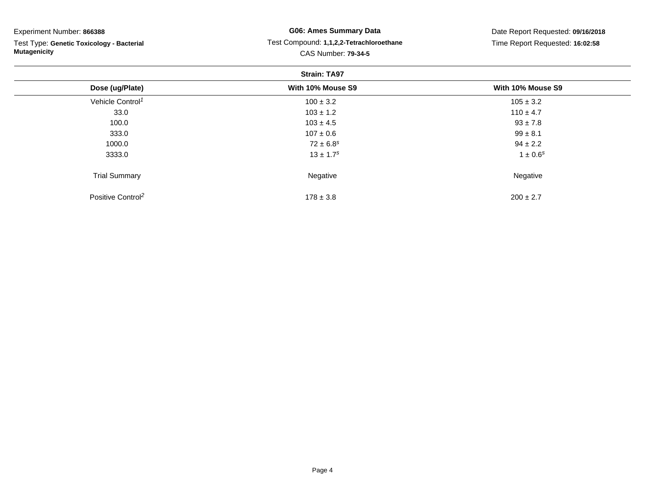| Experiment Number: 866388<br>Test Type: Genetic Toxicology - Bacterial<br><b>Mutagenicity</b> | <b>G06: Ames Summary Data</b><br>Test Compound: 1,1,2,2-Tetrachloroethane | Date Report Requested: 09/16/2018<br>Time Report Requested: 16:02:58 |                            |  |  |
|-----------------------------------------------------------------------------------------------|---------------------------------------------------------------------------|----------------------------------------------------------------------|----------------------------|--|--|
|                                                                                               |                                                                           |                                                                      | <b>CAS Number: 79-34-5</b> |  |  |
|                                                                                               | <b>Strain: TA97</b>                                                       |                                                                      |                            |  |  |
| Dose (ug/Plate)                                                                               | With 10% Mouse S9                                                         | With 10% Mouse S9                                                    |                            |  |  |
| Vehicle Control <sup>1</sup>                                                                  | $100 \pm 3.2$                                                             | $105 \pm 3.2$                                                        |                            |  |  |
| 33.0                                                                                          | $103 \pm 1.2$                                                             | $110 \pm 4.7$                                                        |                            |  |  |
| 100.0                                                                                         | $103 \pm 4.5$                                                             | $93 \pm 7.8$                                                         |                            |  |  |
| 333.0                                                                                         | $107 \pm 0.6$                                                             | $99 \pm 8.1$                                                         |                            |  |  |
| 1000.0                                                                                        | $72 \pm 6.8^s$                                                            | $94 \pm 2.2$                                                         |                            |  |  |
| 3333.0                                                                                        | $13 \pm 1.7$ <sup>s</sup>                                                 | $1 \pm 0.6^s$                                                        |                            |  |  |
| <b>Trial Summary</b>                                                                          | Negative                                                                  | Negative                                                             |                            |  |  |
| Positive Control <sup>2</sup>                                                                 | $178 \pm 3.8$                                                             | $200 \pm 2.7$                                                        |                            |  |  |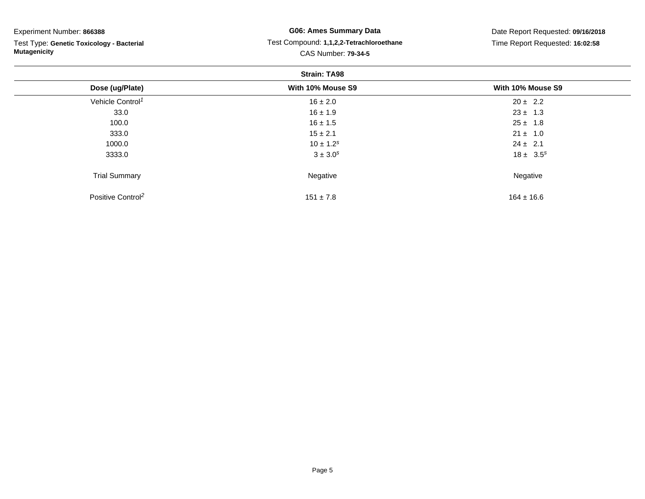| Experiment Number: 866388                                        | <b>G06: Ames Summary Data</b>            | Date Report Requested: 09/16/2018 |  |  |  |
|------------------------------------------------------------------|------------------------------------------|-----------------------------------|--|--|--|
| Test Type: Genetic Toxicology - Bacterial<br><b>Mutagenicity</b> | Test Compound: 1,1,2,2-Tetrachloroethane | Time Report Requested: 16:02:58   |  |  |  |
|                                                                  | <b>CAS Number: 79-34-5</b>               |                                   |  |  |  |
| <b>Strain: TA98</b>                                              |                                          |                                   |  |  |  |
| Dose (ug/Plate)                                                  | With 10% Mouse S9                        | With 10% Mouse S9                 |  |  |  |
| Vehicle Control <sup>1</sup>                                     | $16 \pm 2.0$                             | $20 \pm 2.2$                      |  |  |  |
| 33.0                                                             | $16 \pm 1.9$                             | $23 \pm 1.3$                      |  |  |  |
| 100.0                                                            | $16 \pm 1.5$                             | $25 \pm 1.8$                      |  |  |  |
| 333.0                                                            | $15 \pm 2.1$                             | $21 \pm 1.0$                      |  |  |  |
| 1000.0                                                           | $10 \pm 1.2^s$                           | $24 \pm 2.1$                      |  |  |  |
| 3333.0                                                           | $3 \pm 3.0^s$                            | $18 \pm 3.5^s$                    |  |  |  |
| <b>Trial Summary</b>                                             | Negative                                 | Negative                          |  |  |  |
| Positive Control <sup>2</sup>                                    | $151 \pm 7.8$                            | $164 \pm 16.6$                    |  |  |  |